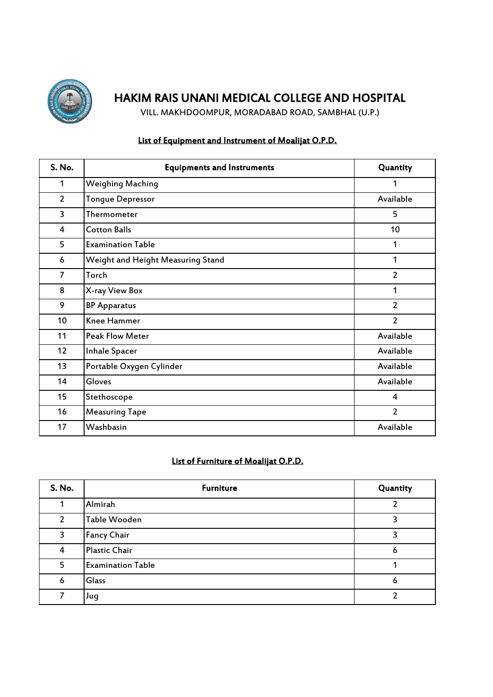

VILL. MAKHDOOMPUR, MORADABAD ROAD, SAMBHAL (U.P.)

### List of Equipment and Instrument of Moalijat O.P.D.

| S. No.         | <b>Equipments and Instruments</b> | Quantity       |
|----------------|-----------------------------------|----------------|
| 1              | <b>Weighing Maching</b>           | 1              |
| $\overline{2}$ | <b>Tongue Depressor</b>           | Available      |
| 3              | Thermometer                       | 5              |
| 4              | <b>Cotton Balls</b>               | 10             |
| 5              | <b>Examination Table</b>          | 1              |
| 6              | Weight and Height Measuring Stand | 1              |
| 7              | Torch                             | $\overline{2}$ |
| 8              | X-ray View Box                    | 1              |
| 9              | <b>BP Apparatus</b>               | $\overline{2}$ |
| 10             | <b>Knee Hammer</b>                | $\overline{2}$ |
| 11             | <b>Peak Flow Meter</b>            | Available      |
| 12             | <b>Inhale Spacer</b>              | Available      |
| 13             | Portable Oxygen Cylinder          | Available      |
| 14             | Gloves                            | Available      |
| 15             | Stethoscope                       | 4              |
| 16             | <b>Measuring Tape</b>             | $\overline{2}$ |
| 17             | Washbasin                         | Available      |

### List of Furniture of Moalijat O.P.D.

| S. No.         | <b>Furniture</b>         | Quantity |
|----------------|--------------------------|----------|
|                | Almirah                  |          |
| $\overline{2}$ | Table Wooden             |          |
| 3              | <b>Fancy Chair</b>       |          |
| 4              | Plastic Chair            | O        |
| 5              | <b>Examination Table</b> |          |
| 6              | Glass                    | ь        |
|                | Jug                      |          |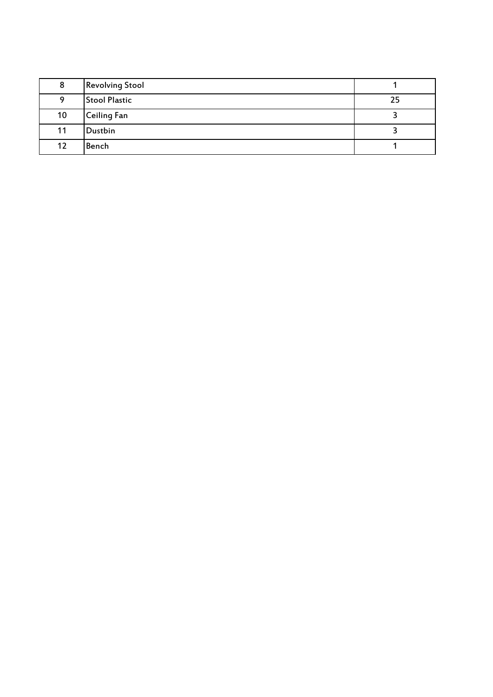| 8  | <b>Revolving Stool</b> |    |
|----|------------------------|----|
| Q  | <b>Stool Plastic</b>   | 25 |
| 10 | <b>Ceiling Fan</b>     |    |
| 11 | Dustbin                |    |
| 12 | Bench                  |    |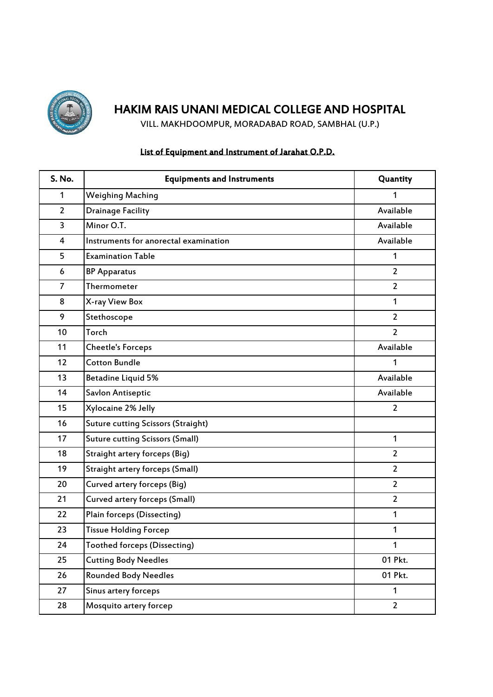

VILL. MAKHDOOMPUR, MORADABAD ROAD, SAMBHAL (U.P.)

### List of Equipment and Instrument of Jarahat O.P.D.

| S. No.         | <b>Equipments and Instruments</b>         | Quantity       |
|----------------|-------------------------------------------|----------------|
| 1              | <b>Weighing Maching</b>                   | 1              |
| $\overline{2}$ | <b>Drainage Facility</b>                  | Available      |
| 3              | Minor O.T.                                | Available      |
| 4              | Instruments for anorectal examination     | Available      |
| 5              | <b>Examination Table</b>                  | 1              |
| 6              | <b>BP Apparatus</b>                       | $\overline{2}$ |
| $\overline{7}$ | Thermometer                               | $\overline{2}$ |
| 8              | X-ray View Box                            | 1              |
| 9              | Stethoscope                               | $\overline{2}$ |
| 10             | Torch                                     | $\overline{2}$ |
| 11             | <b>Cheetle's Forceps</b>                  | Available      |
| 12             | <b>Cotton Bundle</b>                      | 1              |
| 13             | Betadine Liquid 5%                        | Available      |
| 14             | Savlon Antiseptic                         | Available      |
| 15             | Xylocaine 2% Jelly                        | $\overline{2}$ |
| 16             | <b>Suture cutting Scissors (Straight)</b> |                |
| 17             | <b>Suture cutting Scissors (Small)</b>    | $\mathbf{1}$   |
| 18             | Straight artery forceps (Big)             | $\overline{2}$ |
| 19             | <b>Straight artery forceps (Small)</b>    | $\overline{2}$ |
| 20             | Curved artery forceps (Big)               | $\overline{2}$ |
| 21             | Curved artery forceps (Small)             | $\overline{2}$ |
| 22             | Plain forceps (Dissecting)                | 1              |
| 23             | <b>Tissue Holding Forcep</b>              | 1              |
| 24             | <b>Toothed forceps (Dissecting)</b>       | 1              |
| 25             | <b>Cutting Body Needles</b>               | 01 Pkt.        |
| 26             | <b>Rounded Body Needles</b>               | 01 Pkt.        |
| 27             | Sinus artery forceps                      | $\mathbf{1}$   |
| 28             | Mosquito artery forcep                    | $\overline{2}$ |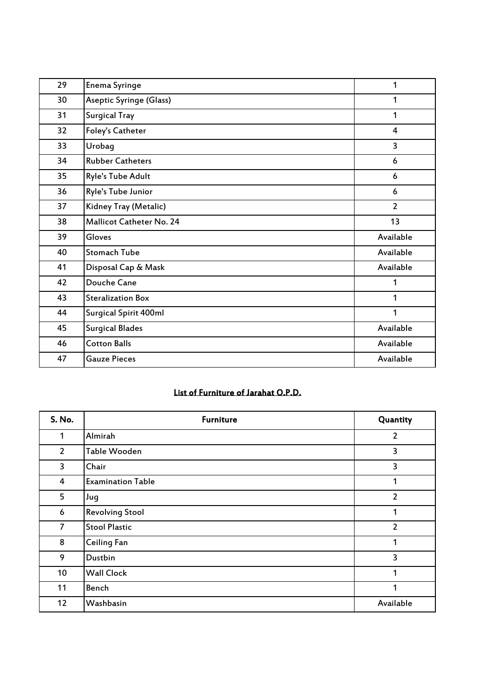| 29 | <b>Enema Syringe</b>            | 1              |
|----|---------------------------------|----------------|
| 30 | <b>Aseptic Syringe (Glass)</b>  | 1              |
| 31 | <b>Surgical Tray</b>            | 1              |
| 32 | Foley's Catheter                | 4              |
| 33 | Urobag                          | 3              |
| 34 | <b>Rubber Catheters</b>         | 6              |
| 35 | Ryle's Tube Adult               | 6              |
| 36 | Ryle's Tube Junior              | 6              |
| 37 | Kidney Tray (Metalic)           | $\overline{2}$ |
| 38 | <b>Mallicot Catheter No. 24</b> | 13             |
| 39 | Gloves                          | Available      |
| 40 | <b>Stomach Tube</b>             | Available      |
| 41 | Disposal Cap & Mask             | Available      |
| 42 | Douche Cane                     | 1              |
| 43 | <b>Steralization Box</b>        | 1              |
| 44 | Surgical Spirit 400ml           | 1              |
| 45 | <b>Surgical Blades</b>          | Available      |
| 46 | <b>Cotton Balls</b>             | Available      |
| 47 | <b>Gauze Pieces</b>             | Available      |

## List of Furniture of Jarahat O.P.D.

| S. No.         | <b>Furniture</b>         | Quantity       |
|----------------|--------------------------|----------------|
| 1              | Almirah                  | $\overline{2}$ |
| $\overline{2}$ | Table Wooden             | 3              |
| 3              | Chair                    | 3              |
| 4              | <b>Examination Table</b> | 1              |
| 5              | Jug                      | $\overline{2}$ |
| 6              | <b>Revolving Stool</b>   | 1              |
| 7              | <b>Stool Plastic</b>     | $\overline{2}$ |
| 8              | Ceiling Fan              | 1              |
| 9              | Dustbin                  | 3              |
| 10             | <b>Wall Clock</b>        | 1              |
| 11             | Bench                    | 1              |
| 12             | Washbasin                | Available      |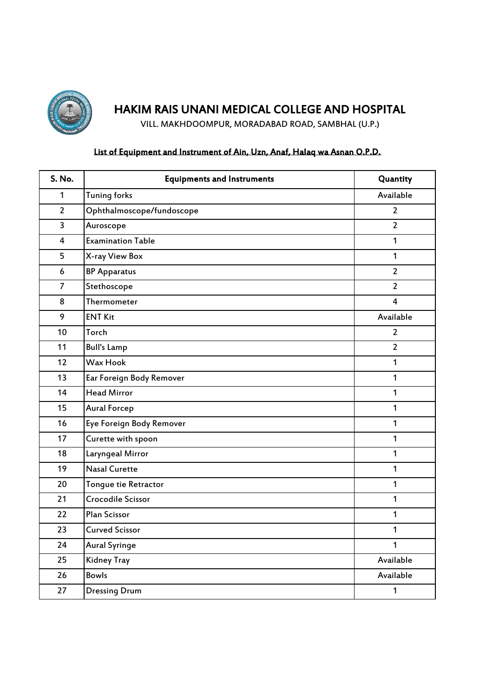

VILL. MAKHDOOMPUR, MORADABAD ROAD, SAMBHAL (U.P.)

### List of Equipment and Instrument of Ain, Uzn, Anaf, Halaq wa Asnan O.P.D.

| S. No.                  | <b>Equipments and Instruments</b> | Quantity       |
|-------------------------|-----------------------------------|----------------|
| $\mathbf{1}$            | <b>Tuning forks</b>               | Available      |
| $\overline{2}$          | Ophthalmoscope/fundoscope         | 2              |
| 3                       | Auroscope                         | $\overline{2}$ |
| $\overline{\mathbf{4}}$ | <b>Examination Table</b>          | $\mathbf{1}$   |
| 5                       | X-ray View Box                    | $\mathbf{1}$   |
| $6\phantom{1}$          | <b>BP Apparatus</b>               | $\overline{2}$ |
| $\overline{7}$          | Stethoscope                       | $\overline{2}$ |
| 8                       | Thermometer                       | 4              |
| 9                       | <b>ENT Kit</b>                    | Available      |
| 10                      | Torch                             | $\overline{2}$ |
| 11                      | <b>Bull's Lamp</b>                | $\overline{2}$ |
| 12                      | <b>Wax Hook</b>                   | 1              |
| 13                      | Ear Foreign Body Remover          | $\mathbf{1}$   |
| 14                      | <b>Head Mirror</b>                | $\mathbf{1}$   |
| 15                      | <b>Aural Forcep</b>               | $\mathbf{1}$   |
| 16                      | Eye Foreign Body Remover          | $\mathbf{1}$   |
| 17                      | Curette with spoon                | $\mathbf{1}$   |
| 18                      | Laryngeal Mirror                  | 1              |
| 19                      | <b>Nasal Curette</b>              | $\mathbf{1}$   |
| 20                      | Tongue tie Retractor              | 1              |
| 21                      | Crocodile Scissor                 | $\mathbf{1}$   |
| 22                      | Plan Scissor                      | $\mathbf{1}$   |
| 23                      | <b>Curved Scissor</b>             | $\mathbf{1}$   |
| 24                      | <b>Aural Syringe</b>              | $\mathbf{1}$   |
| 25                      | Kidney Tray                       | Available      |
| 26                      | <b>Bowls</b>                      | Available      |
| 27                      | <b>Dressing Drum</b>              | 1              |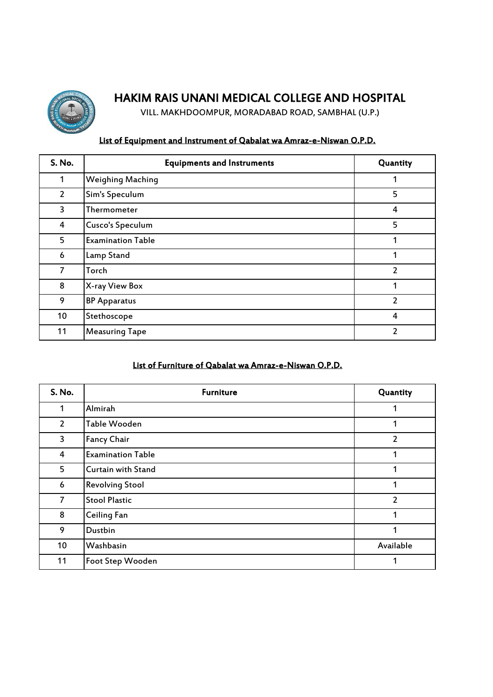

VILL. MAKHDOOMPUR, MORADABAD ROAD, SAMBHAL (U.P.)

### List of Equipment and Instrument of Qabalat wa Amraz-e-Niswan O.P.D.

| <b>S. No.</b>  | <b>Equipments and Instruments</b> | Quantity       |
|----------------|-----------------------------------|----------------|
| 1              | <b>Weighing Maching</b>           | 1              |
| $\overline{2}$ | Sim's Speculum                    | 5              |
| 3              | Thermometer                       | 4              |
| 4              | <b>Cusco's Speculum</b>           | 5              |
| 5              | <b>Examination Table</b>          | 1              |
| 6              | Lamp Stand                        | 1              |
| 7              | Torch                             | $\overline{2}$ |
| 8              | X-ray View Box                    | 1              |
| 9              | <b>BP Apparatus</b>               | 2              |
| 10             | Stethoscope                       | 4              |
| 11             | <b>Measuring Tape</b>             | 2              |

#### List of Furniture of Qabalat wa Amraz-e-Niswan O.P.D.

| S. No.         | <b>Furniture</b>          | Quantity       |
|----------------|---------------------------|----------------|
| 1              | Almirah                   | 1              |
| $\overline{2}$ | Table Wooden              | 1              |
| 3              | <b>Fancy Chair</b>        | $\overline{2}$ |
| 4              | <b>Examination Table</b>  | 1              |
| 5              | <b>Curtain with Stand</b> | 1              |
| 6              | <b>Revolving Stool</b>    | 1              |
| $\overline{7}$ | <b>Stool Plastic</b>      | $\overline{2}$ |
| 8              | <b>Ceiling Fan</b>        | 1              |
| 9              | Dustbin                   | 1              |
| 10             | Washbasin                 | Available      |
| 11             | <b>Foot Step Wooden</b>   | 1              |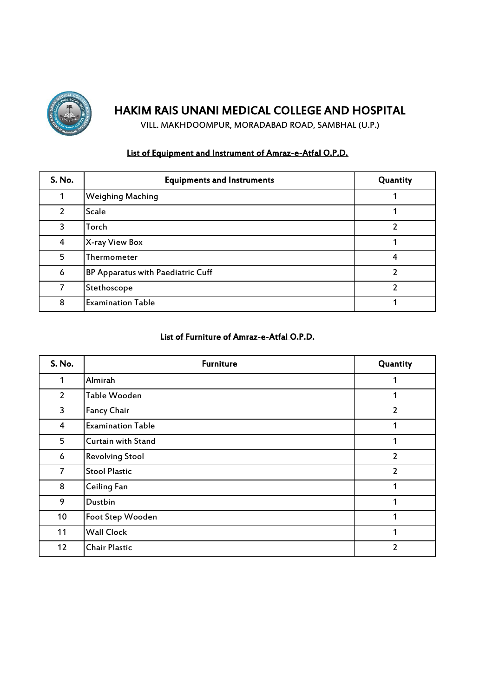

VILL. MAKHDOOMPUR, MORADABAD ROAD, SAMBHAL (U.P.)

### List of Equipment and Instrument of Amraz-e-Atfal O.P.D.

| <b>S. No.</b>  | <b>Equipments and Instruments</b> | Quantity |
|----------------|-----------------------------------|----------|
|                | <b>Weighing Maching</b>           |          |
| $\overline{2}$ | <b>Scale</b>                      |          |
| 3              | Torch                             | ∍        |
| 4              | X-ray View Box                    |          |
| 5              | Thermometer                       | 4        |
| 6              | BP Apparatus with Paediatric Cuff |          |
| 7              | Stethoscope                       |          |
| 8              | <b>Examination Table</b>          |          |

#### List of Furniture of Amraz-e-Atfal O.P.D.

| S. No.         | <b>Furniture</b>         | Quantity       |
|----------------|--------------------------|----------------|
| 1              | Almirah                  | 1              |
| $\overline{2}$ | Table Wooden             | 1              |
| 3              | <b>Fancy Chair</b>       | $\overline{2}$ |
| 4              | <b>Examination Table</b> | 1              |
| 5              | Curtain with Stand       | 1              |
| 6              | <b>Revolving Stool</b>   | $\overline{2}$ |
| 7              | <b>Stool Plastic</b>     | $\overline{2}$ |
| 8              | Ceiling Fan              | 1              |
| 9              | Dustbin                  | 1              |
| 10             | Foot Step Wooden         | 1              |
| 11             | <b>Wall Clock</b>        | 1              |
| 12             | <b>Chair Plastic</b>     | $\overline{2}$ |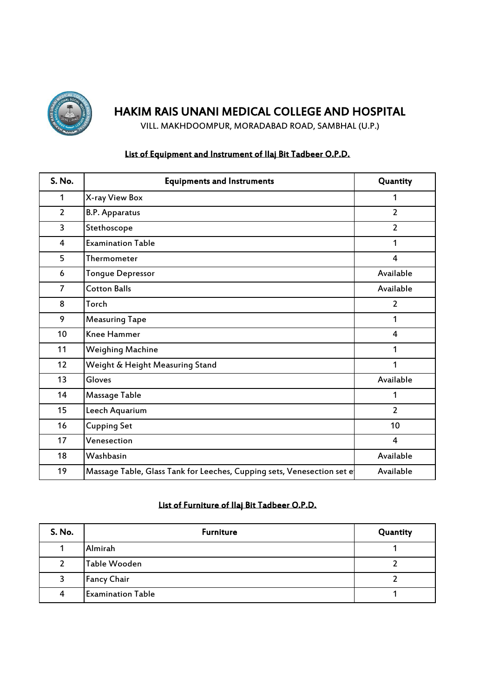

VILL. MAKHDOOMPUR, MORADABAD ROAD, SAMBHAL (U.P.)

### List of Equipment and Instrument of Ilaj Bit Tadbeer O.P.D.

| S. No.         | <b>Equipments and Instruments</b>                                      | Quantity       |
|----------------|------------------------------------------------------------------------|----------------|
| 1              | X-ray View Box                                                         | 1              |
| $\overline{2}$ | <b>B.P. Apparatus</b>                                                  | $\overline{2}$ |
| 3              | Stethoscope                                                            | $\overline{2}$ |
| 4              | <b>Examination Table</b>                                               | 1              |
| 5              | Thermometer                                                            | $\overline{4}$ |
| 6              | <b>Tongue Depressor</b>                                                | Available      |
| 7              | <b>Cotton Balls</b>                                                    | Available      |
| 8              | Torch                                                                  | $\overline{2}$ |
| 9              | <b>Measuring Tape</b>                                                  | 1              |
| 10             | <b>Knee Hammer</b>                                                     | 4              |
| 11             | Weighing Machine                                                       | 1              |
| 12             | Weight & Height Measuring Stand                                        | 1              |
| 13             | Gloves                                                                 | Available      |
| 14             | <b>Massage Table</b>                                                   | 1              |
| 15             | Leech Aquarium                                                         | $\overline{2}$ |
| 16             | <b>Cupping Set</b>                                                     | 10             |
| 17             | Venesection                                                            | $\overline{4}$ |
| 18             | Washbasin                                                              | Available      |
| 19             | Massage Table, Glass Tank for Leeches, Cupping sets, Venesection set e | Available      |

### List of Furniture of Ilaj Bit Tadbeer O.P.D.

| <b>S. No.</b> | <b>Furniture</b>         | Quantity |
|---------------|--------------------------|----------|
|               | Almirah                  |          |
| 2             | Table Wooden             |          |
| 3             | <b>Fancy Chair</b>       |          |
| 4             | <b>Examination Table</b> |          |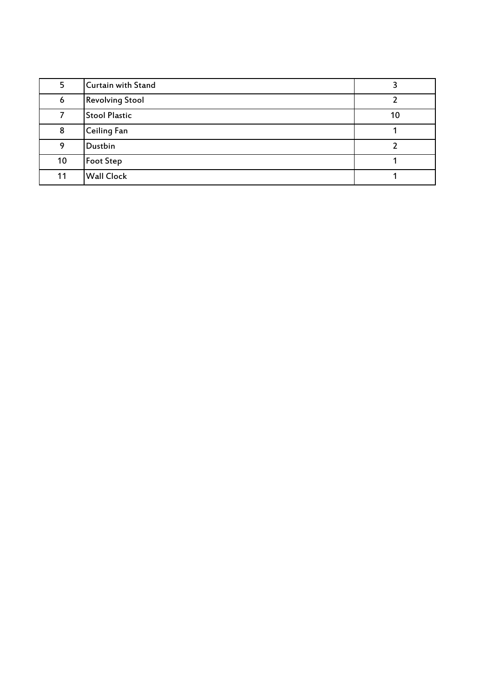| 5  | <b>Curtain with Stand</b> |    |
|----|---------------------------|----|
| 6  | <b>Revolving Stool</b>    |    |
|    | <b>Stool Plastic</b>      | 10 |
| 8  | Ceiling Fan               |    |
| 9  | Dustbin                   |    |
| 10 | <b>Foot Step</b>          |    |
| 11 | <b>Wall Clock</b>         |    |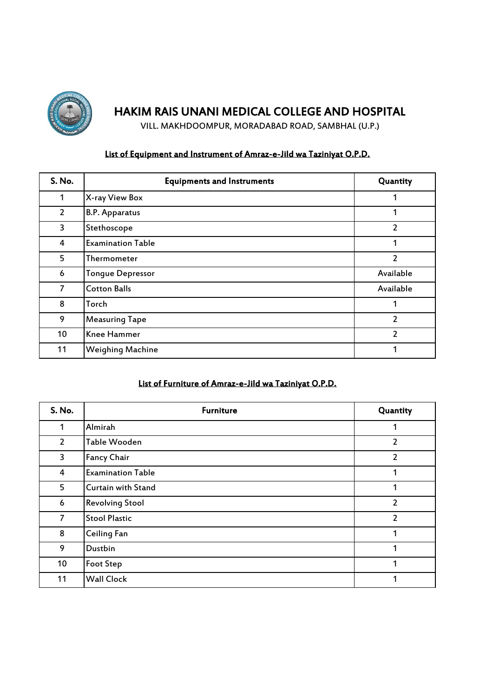

VILL. MAKHDOOMPUR, MORADABAD ROAD, SAMBHAL (U.P.)

### List of Equipment and Instrument of Amraz-e-Jild wa Taziniyat O.P.D.

| S. No.         | <b>Equipments and Instruments</b> | Quantity       |
|----------------|-----------------------------------|----------------|
| 1              | X-ray View Box                    | 1              |
| $\overline{2}$ | <b>B.P. Apparatus</b>             | 1              |
| 3              | Stethoscope                       | 2              |
| 4              | <b>Examination Table</b>          | 1              |
| 5              | Thermometer                       | 2              |
| 6              | <b>Tongue Depressor</b>           | Available      |
| $\overline{7}$ | <b>Cotton Balls</b>               | Available      |
| 8              | Torch                             | 1              |
| 9              | <b>Measuring Tape</b>             | $\overline{2}$ |
| 10             | Knee Hammer                       | $\overline{2}$ |
| 11             | <b>Weighing Machine</b>           | 1              |

### List of Furniture of Amraz-e-Jild wa Taziniyat O.P.D.

| S. No.         | <b>Furniture</b>         | Quantity       |
|----------------|--------------------------|----------------|
| 1              | Almirah                  | 1              |
| $\overline{2}$ | Table Wooden             | 2              |
| 3              | <b>Fancy Chair</b>       | 2              |
| 4              | <b>Examination Table</b> | 1              |
| 5              | Curtain with Stand       | 1              |
| 6              | <b>Revolving Stool</b>   | 2              |
| 7              | <b>Stool Plastic</b>     | $\overline{2}$ |
| 8              | Ceiling Fan              | 1              |
| 9              | Dustbin                  | 1              |
| 10             | <b>Foot Step</b>         | 1              |
| 11             | <b>Wall Clock</b>        | 1              |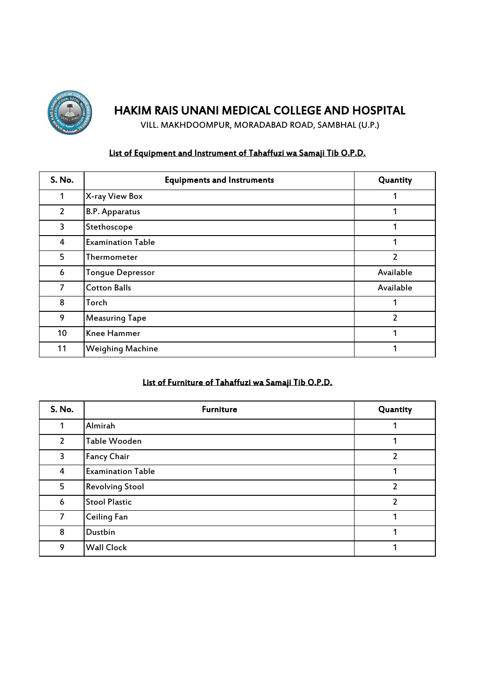

VILL. MAKHDOOMPUR, MORADABAD ROAD, SAMBHAL (U.P.)

### List of Equipment and Instrument of Tahaffuzi wa Samaji Tib O.P.D.

| S. No.         | <b>Equipments and Instruments</b> | Quantity      |
|----------------|-----------------------------------|---------------|
| 1              | X-ray View Box                    | 1             |
| $\overline{2}$ | <b>B.P. Apparatus</b>             | 1             |
| 3              | Stethoscope                       | 1             |
| 4              | <b>Examination Table</b>          | 1             |
| 5              | Thermometer                       | 2             |
| 6              | <b>Tongue Depressor</b>           | Available     |
| 7              | <b>Cotton Balls</b>               | Available     |
| 8              | Torch                             | 1             |
| 9              | <b>Measuring Tape</b>             | $\mathfrak z$ |
| 10             | Knee Hammer                       |               |
| 11             | <b>Weighing Machine</b>           | 1             |

## List of Furniture of Tahaffuzi wa Samaji Tib O.P.D.

| S. No.         | <b>Furniture</b>         | Quantity       |
|----------------|--------------------------|----------------|
| 1              | Almirah                  |                |
| $\overline{2}$ | Table Wooden             |                |
| 3              | <b>Fancy Chair</b>       | 2              |
| 4              | <b>Examination Table</b> |                |
| 5              | <b>Revolving Stool</b>   | 2              |
| 6              | <b>Stool Plastic</b>     | $\overline{2}$ |
| $\overline{7}$ | Ceiling Fan              |                |
| 8              | Dustbin                  |                |
| 9              | <b>Wall Clock</b>        |                |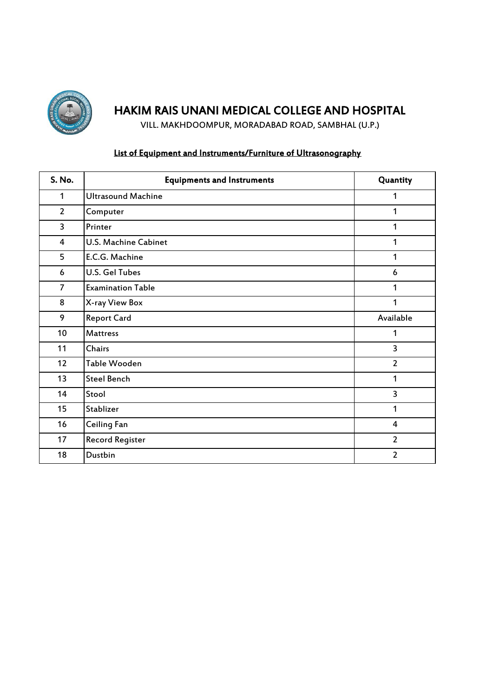

VILL. MAKHDOOMPUR, MORADABAD ROAD, SAMBHAL (U.P.)

### List of Equipment and Instruments/Furniture of Ultrasonography

| S. No.         | <b>Equipments and Instruments</b> | Quantity       |
|----------------|-----------------------------------|----------------|
| $\mathbf{1}$   | <b>Ultrasound Machine</b>         | 1              |
| $\overline{2}$ | Computer                          | 1              |
| 3              | Printer                           | 1              |
| 4              | U.S. Machine Cabinet              | 1              |
| 5              | E.C.G. Machine                    | 1              |
| 6              | <b>U.S. Gel Tubes</b>             | 6              |
| $\overline{7}$ | <b>Examination Table</b>          | 1              |
| 8              | X-ray View Box                    | 1              |
| 9              | <b>Report Card</b>                | Available      |
| 10             | <b>Mattress</b>                   | 1              |
| 11             | <b>Chairs</b>                     | 3              |
| 12             | Table Wooden                      | $\overline{2}$ |
| 13             | <b>Steel Bench</b>                | 1              |
| 14             | Stool                             | 3              |
| 15             | Stablizer                         | 1              |
| 16             | Ceiling Fan                       | 4              |
| 17             | <b>Record Register</b>            | $\overline{2}$ |
| 18             | Dustbin                           | $\overline{2}$ |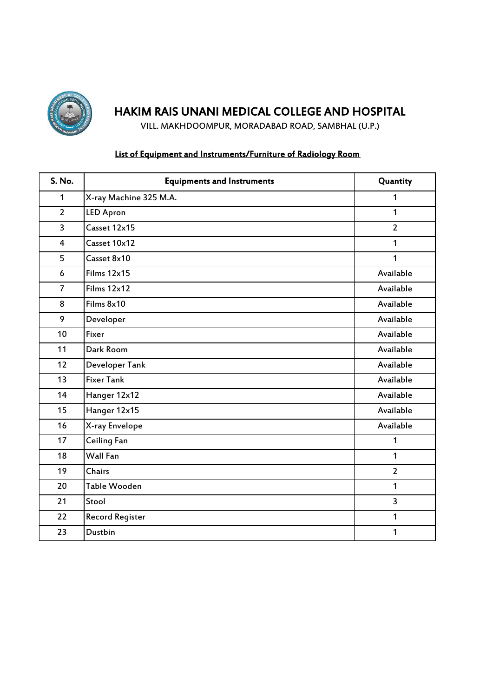

VILL. MAKHDOOMPUR, MORADABAD ROAD, SAMBHAL (U.P.)

### List of Equipment and Instruments/Furniture of Radiology Room

| S. No.         | <b>Equipments and Instruments</b> | Quantity       |
|----------------|-----------------------------------|----------------|
| $\mathbf{1}$   | X-ray Machine 325 M.A.            | 1              |
| $\overline{2}$ | <b>LED Apron</b>                  | $\mathbf{1}$   |
| 3              | Casset 12x15                      | $\overline{2}$ |
| $\overline{4}$ | Casset 10x12                      | 1              |
| 5              | Casset 8x10                       | 1              |
| 6              | Films 12x15                       | Available      |
| $\overline{7}$ | Films 12x12                       | Available      |
| 8              | Films 8x10                        | Available      |
| 9              | Developer                         | Available      |
| 10             | Fixer                             | Available      |
| 11             | Dark Room                         | Available      |
| 12             | Developer Tank                    | Available      |
| 13             | <b>Fixer Tank</b>                 | Available      |
| 14             | Hanger 12x12                      | Available      |
| 15             | Hanger 12x15                      | Available      |
| 16             | X-ray Envelope                    | Available      |
| 17             | Ceiling Fan                       | 1              |
| 18             | Wall Fan                          | 1              |
| 19             | Chairs                            | $\overline{2}$ |
| 20             | Table Wooden                      | 1              |
| 21             | Stool                             | $\overline{3}$ |
| 22             | <b>Record Register</b>            | 1              |
| 23             | Dustbin                           | 1              |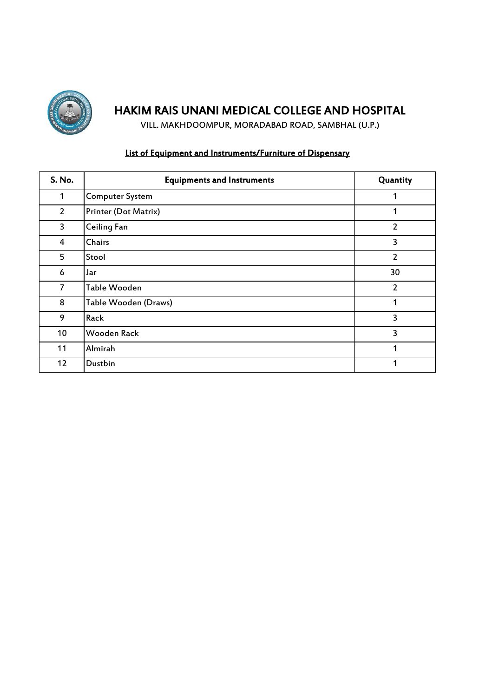

VILL. MAKHDOOMPUR, MORADABAD ROAD, SAMBHAL (U.P.)

### List of Equipment and Instruments/Furniture of Dispensary

| <b>S. No.</b>  | <b>Equipments and Instruments</b> | Quantity       |
|----------------|-----------------------------------|----------------|
| 1              | <b>Computer System</b>            | 1              |
| $\overline{2}$ | <b>Printer (Dot Matrix)</b>       | 1              |
| 3              | <b>Ceiling Fan</b>                | 2              |
| 4              | Chairs                            | 3              |
| 5              | Stool                             | $\overline{2}$ |
| 6              | Jar                               | 30             |
| $\overline{7}$ | Table Wooden                      | $\overline{2}$ |
| 8              | Table Wooden (Draws)              | 1              |
| 9              | Rack                              | 3              |
| 10             | <b>Wooden Rack</b>                | 3              |
| 11             | Almirah                           | 1              |
| 12             | Dustbin                           | 1              |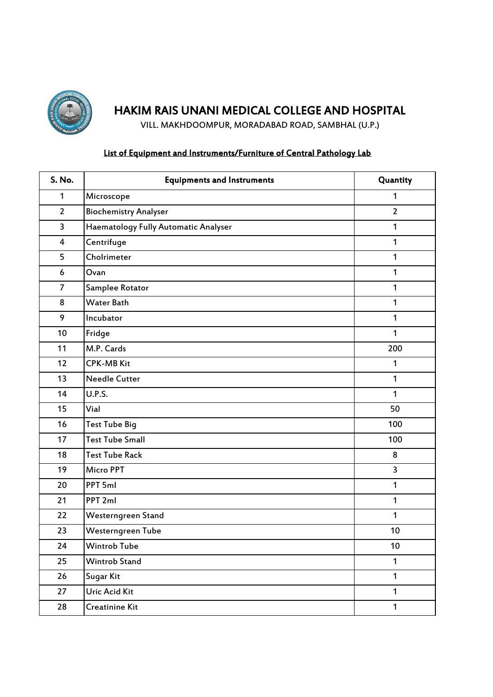

VILL. MAKHDOOMPUR, MORADABAD ROAD, SAMBHAL (U.P.)

### List of Equipment and Instruments/Furniture of Central Pathology Lab

| <b>S. No.</b>           | <b>Equipments and Instruments</b>    | Quantity       |
|-------------------------|--------------------------------------|----------------|
| $\mathbf{1}$            | Microscope                           | 1              |
| $\overline{2}$          | <b>Biochemistry Analyser</b>         | $\overline{2}$ |
| 3                       | Haematology Fully Automatic Analyser | 1              |
| $\overline{\mathbf{4}}$ | Centrifuge                           | 1              |
| 5                       | Cholrimeter                          | 1              |
| 6                       | Ovan                                 | 1              |
| $\overline{7}$          | Samplee Rotator                      | $\mathbf{1}$   |
| 8                       | <b>Water Bath</b>                    | $\mathbf{1}$   |
| 9                       | Incubator                            | $\mathbf{1}$   |
| 10                      | Fridge                               | $\mathbf{1}$   |
| 11                      | M.P. Cards                           | 200            |
| 12                      | <b>CPK-MB Kit</b>                    | 1              |
| 13                      | <b>Needle Cutter</b>                 | $\mathbf{1}$   |
| 14                      | <b>U.P.S.</b>                        | $\mathbf{1}$   |
| 15                      | Vial                                 | 50             |
| 16                      | <b>Test Tube Big</b>                 | 100            |
| 17                      | <b>Test Tube Small</b>               | 100            |
| 18                      | <b>Test Tube Rack</b>                | 8              |
| 19                      | <b>Micro PPT</b>                     | 3              |
| 20                      | PPT 5ml                              | 1              |
| 21                      | PPT <sub>2ml</sub>                   | 1              |
| 22                      | Westerngreen Stand                   | 1              |
| 23                      | Westerngreen Tube                    | 10             |
| 24                      | Wintrob Tube                         | 10             |
| 25                      | <b>Wintrob Stand</b>                 | $\mathbf{1}$   |
| 26                      | Sugar Kit                            | $\mathbf{1}$   |
| 27                      | Uric Acid Kit                        | $\mathbf{1}$   |
| 28                      | Creatinine Kit                       | $\mathbf{1}$   |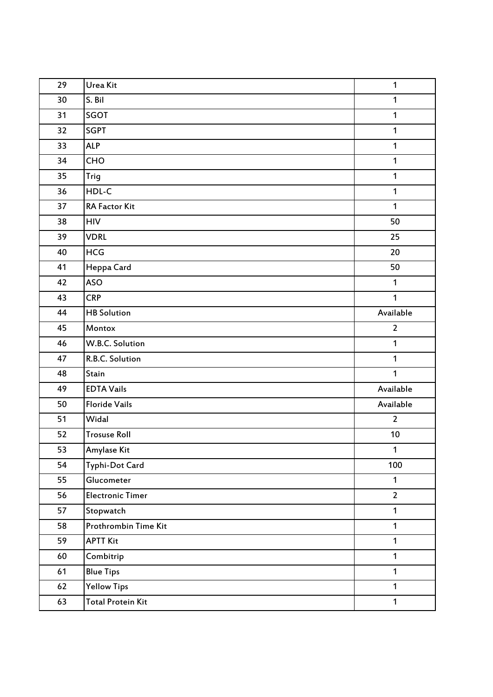| 29 | Urea Kit                 | 1              |
|----|--------------------------|----------------|
| 30 | S. Bil                   | $\mathbf{1}$   |
| 31 | SGOT                     | $\mathbf{1}$   |
| 32 | <b>SGPT</b>              | $\mathbf{1}$   |
| 33 | <b>ALP</b>               | $\mathbf{1}$   |
| 34 | CHO                      | $\mathbf{1}$   |
| 35 | Trig                     | $\mathbf{1}$   |
| 36 | HDL-C                    | 1              |
| 37 | RA Factor Kit            | $\mathbf{1}$   |
| 38 | <b>HIV</b>               | 50             |
| 39 | <b>VDRL</b>              | 25             |
| 40 | <b>HCG</b>               | 20             |
| 41 | Heppa Card               | 50             |
| 42 | <b>ASO</b>               | $\mathbf{1}$   |
| 43 | <b>CRP</b>               | $\mathbf{1}$   |
| 44 | <b>HB</b> Solution       | Available      |
| 45 | Montox                   | $\overline{2}$ |
| 46 | W.B.C. Solution          | $\mathbf{1}$   |
| 47 | R.B.C. Solution          | $\mathbf{1}$   |
| 48 | Stain                    | $\mathbf{1}$   |
| 49 | <b>EDTA Vails</b>        | Available      |
| 50 | <b>Floride Vails</b>     | Available      |
| 51 | Widal                    | $\overline{2}$ |
| 52 | <b>Trosuse Roll</b>      | 10             |
| 53 | Amylase Kit              | 1              |
| 54 | Typhi-Dot Card           | 100            |
| 55 | Glucometer               | $\mathbf{1}$   |
| 56 | <b>Electronic Timer</b>  | $\overline{2}$ |
| 57 | Stopwatch                | $\mathbf{1}$   |
| 58 | Prothrombin Time Kit     | $\mathbf{1}$   |
| 59 | <b>APTT Kit</b>          | $\mathbf{1}$   |
| 60 | Combitrip                | $\mathbf{1}$   |
| 61 | <b>Blue Tips</b>         | $\mathbf{1}$   |
| 62 | <b>Yellow Tips</b>       | $\mathbf{1}$   |
| 63 | <b>Total Protein Kit</b> | $\mathbf{1}$   |